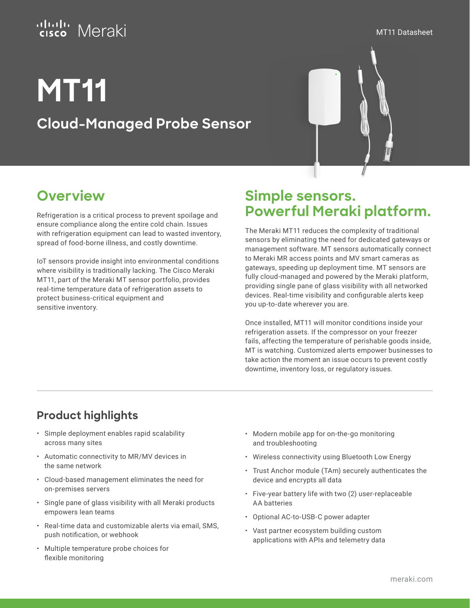### attalır. Meraki

MT11 Datasheet

# **MT11**

**Cloud-Managed Probe Sensor**



# **Overview**

Refrigeration is a critical process to prevent spoilage and ensure compliance along the entire cold chain. Issues with refrigeration equipment can lead to wasted inventory, spread of food-borne illness, and costly downtime.

IoT sensors provide insight into environmental conditions where visibility is traditionally lacking. The Cisco Meraki MT11, part of the Meraki MT sensor portfolio, provides real-time temperature data of refrigeration assets to protect business-critical equipment and sensitive inventory.

## **Simple sensors. Powerful Meraki platform.**

The Meraki MT11 reduces the complexity of traditional sensors by eliminating the need for dedicated gateways or management software. MT sensors automatically connect to Meraki MR access points and MV smart cameras as gateways, speeding up deployment time. MT sensors are fully cloud-managed and powered by the Meraki platform, providing single pane of glass visibility with all networked devices. Real-time visibility and configurable alerts keep you up-to-date wherever you are.

Once installed, MT11 will monitor conditions inside your refrigeration assets. If the compressor on your freezer fails, affecting the temperature of perishable goods inside, MT is watching. Customized alerts empower businesses to take action the moment an issue occurs to prevent costly downtime, inventory loss, or regulatory issues.

### **Product highlights**

- Simple deployment enables rapid scalability across many sites
- Automatic connectivity to MR/MV devices in the same network
- Cloud-based management eliminates the need for on-premises servers
- Single pane of glass visibility with all Meraki products empowers lean teams
- Real-time data and customizable alerts via email, SMS, push notification, or webhook
- Multiple temperature probe choices for flexible monitoring
- Modern mobile app for on-the-go monitoring and troubleshooting
- Wireless connectivity using Bluetooth Low Energy
- Trust Anchor module (TAm) securely authenticates the device and encrypts all data
- Five-year battery life with two (2) user-replaceable AA batteries
- Optional AC-to-USB-C power adapter
- Vast partner ecosystem building custom applications with APIs and telemetry data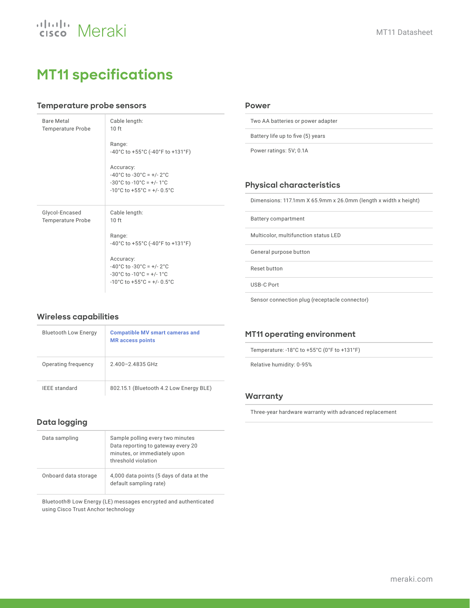

## **MT11 specifications**

#### **Temperature probe sensors**

| <b>Bare Metal</b><br><b>Temperature Probe</b> | Cable length:<br>10 <sub>ft</sub>                                                                                                                                                           |
|-----------------------------------------------|---------------------------------------------------------------------------------------------------------------------------------------------------------------------------------------------|
|                                               | Range:<br>-40°C to +55°C (-40°F to +131°F)                                                                                                                                                  |
|                                               | Accuracy:<br>$-40^{\circ}$ C to $-30^{\circ}$ C = $+/- 2^{\circ}$ C<br>$-30^{\circ}$ C to $-10^{\circ}$ C = $+/-1^{\circ}$ C<br>$-10^{\circ}$ C to $+55^{\circ}$ C = $+/-0.5^{\circ}$ C     |
| Glycol-Encased<br><b>Temperature Probe</b>    | Cable length:<br>10 <sub>ft</sub><br>Range:<br>$-40^{\circ}$ C to $+55^{\circ}$ C (-40 $^{\circ}$ F to $+131^{\circ}$ F)                                                                    |
|                                               | Accuracy:<br>$-40^{\circ}$ C to $-30^{\circ}$ C = $+/$ - 2 $^{\circ}$ C<br>$-30^{\circ}$ C to $-10^{\circ}$ C = $+/-1^{\circ}$ C<br>$-10^{\circ}$ C to $+55^{\circ}$ C = $+/-0.5^{\circ}$ C |

#### **Power**

Two AA batteries or power adapter

Battery life up to five (5) years

Power ratings: 5V; 0.1A

#### **Physical characteristics**

Dimensions: 117.1mm X 65.9mm x 26.0mm (length x width x height)

Battery compartment

Multicolor, multifunction status LED

General purpose button

Reset button

USB-C Port

Sensor connection plug (receptacle connector)

#### **Wireless capabilities**

| <b>Bluetooth Low Energy</b> | <b>Compatible MV smart cameras and</b><br><b>MR</b> access points |
|-----------------------------|-------------------------------------------------------------------|
| Operating frequency         | 2400-24835GHz                                                     |
| <b>IEEE</b> standard        | 802.15.1 (Bluetooth 4.2 Low Energy BLE)                           |

#### **Data logging**

| Data sampling        | Sample polling every two minutes<br>Data reporting to gateway every 20<br>minutes, or immediately upon<br>threshold violation |
|----------------------|-------------------------------------------------------------------------------------------------------------------------------|
| Onboard data storage | 4,000 data points (5 days of data at the<br>default sampling rate)                                                            |

Bluetooth® Low Energy (LE) messages encrypted and authenticated using Cisco Trust Anchor technology

#### **MT11 operating environment**

Temperature: -18°C to +55°C (0°F to +131°F)

Relative humidity: 0-95%

#### **Warranty**

Three-year hardware warranty with advanced replacement